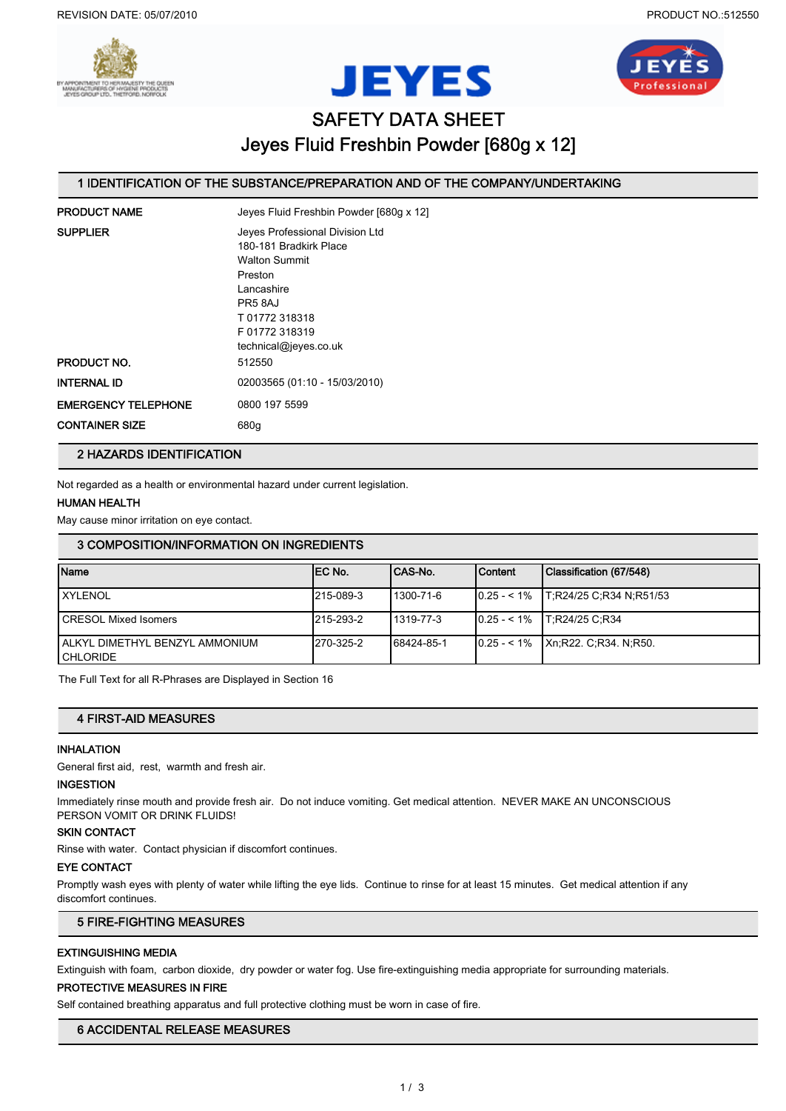





# SAFETY DATA SHEET Jeyes Fluid Freshbin Powder [680g x 12]

# 1 IDENTIFICATION OF THE SUBSTANCE/PREPARATION AND OF THE COMPANY/UNDERTAKING

| Jeyes Fluid Freshbin Powder [680g x 12]                                                                                                                                        |
|--------------------------------------------------------------------------------------------------------------------------------------------------------------------------------|
| Jeves Professional Division Ltd<br>180-181 Bradkirk Place<br><b>Walton Summit</b><br>Preston<br>Lancashire<br>PR5 8AJ<br>T01772318318<br>F01772318319<br>technical@jeyes.co.uk |
| 512550                                                                                                                                                                         |
| 02003565 (01:10 - 15/03/2010)                                                                                                                                                  |
| 0800 197 5599<br>680g                                                                                                                                                          |
|                                                                                                                                                                                |

# 2 HAZARDS IDENTIFICATION

Not regarded as a health or environmental hazard under current legislation.

# HUMAN HEALTH

May cause minor irritation on eye contact.

## 3 COMPOSITION/INFORMATION ON INGREDIENTS

| <b>Name</b>                                        | IEC No.   | ICAS-No.   | <b>Content</b> | Classification (67/548)                             |
|----------------------------------------------------|-----------|------------|----------------|-----------------------------------------------------|
| <b>XYLENOL</b>                                     | 215-089-3 | 1300-71-6  |                | $\vert 0.25 - 1\% \vert$ T; R24/25 C; R34 N; R51/53 |
| <b>ICRESOL Mixed Isomers</b>                       | 215-293-2 | 1319-77-3  |                | $10.25 - 1\%$ T:R24/25 C:R34                        |
| LALKYL DIMETHYL BENZYL AMMONIUM<br><b>CHLORIDE</b> | 270-325-2 | 68424-85-1 |                | $ 0.25 - 1\% $ Xn;R22, C;R34, N;R50.                |

The Full Text for all R-Phrases are Displayed in Section 16

# 4 FIRST-AID MEASURES

# INHALATION

General first aid, rest, warmth and fresh air.

## INGESTION

Immediately rinse mouth and provide fresh air. Do not induce vomiting. Get medical attention. NEVER MAKE AN UNCONSCIOUS PERSON VOMIT OR DRINK FLUIDS!

#### SKIN CONTACT

Rinse with water. Contact physician if discomfort continues.

#### EYE CONTACT

Promptly wash eyes with plenty of water while lifting the eye lids. Continue to rinse for at least 15 minutes. Get medical attention if any discomfort continues.

# 5 FIRE-FIGHTING MEASURES

# EXTINGUISHING MEDIA

Extinguish with foam, carbon dioxide, dry powder or water fog. Use fire-extinguishing media appropriate for surrounding materials.

## PROTECTIVE MEASURES IN FIRE

Self contained breathing apparatus and full protective clothing must be worn in case of fire.

# 6 ACCIDENTAL RELEASE MEASURES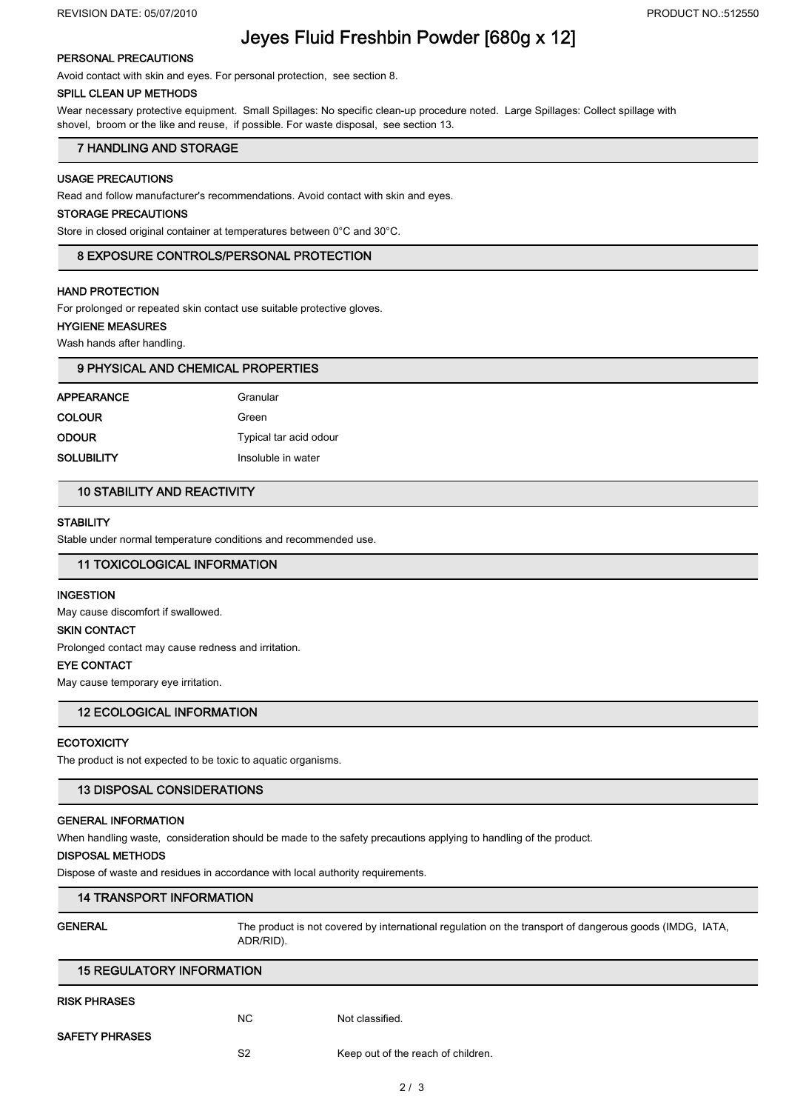# Jeyes Fluid Freshbin Powder [680g x 12]

## PERSONAL PRECAUTIONS

Avoid contact with skin and eyes. For personal protection, see section 8.

# SPILL CLEAN UP METHODS

Wear necessary protective equipment. Small Spillages: No specific clean-up procedure noted. Large Spillages: Collect spillage with shovel, broom or the like and reuse, if possible. For waste disposal, see section 13.

# 7 HANDLING AND STORAGE

# USAGE PRECAUTIONS

Read and follow manufacturer's recommendations. Avoid contact with skin and eyes.

#### STORAGE PRECAUTIONS

Store in closed original container at temperatures between 0°C and 30°C.

### 8 EXPOSURE CONTROLS/PERSONAL PROTECTION

# HAND PROTECTION

For prolonged or repeated skin contact use suitable protective gloves.

#### HYGIENE MEASURES

Wash hands after handling.

| 9 PHYSICAL AND CHEMICAL PROPERTIES |                        |  |  |
|------------------------------------|------------------------|--|--|
| <b>APPEARANCE</b>                  | Granular               |  |  |
| <b>COLOUR</b>                      | Green                  |  |  |
| <b>ODOUR</b>                       | Typical tar acid odour |  |  |
| <b>SOLUBILITY</b>                  | Insoluble in water     |  |  |
|                                    |                        |  |  |

# 10 STABILITY AND REACTIVITY

## **STABILITY**

Stable under normal temperature conditions and recommended use.

# 11 TOXICOLOGICAL INFORMATION

#### **INGESTION**

May cause discomfort if swallowed.

#### SKIN CONTACT

Prolonged contact may cause redness and irritation.

## EYE CONTACT

May cause temporary eye irritation.

# 12 ECOLOGICAL INFORMATION

### **ECOTOXICITY**

The product is not expected to be toxic to aquatic organisms.

# 13 DISPOSAL CONSIDERATIONS

# GENERAL INFORMATION

When handling waste, consideration should be made to the safety precautions applying to handling of the product.

# DISPOSAL METHODS

Dispose of waste and residues in accordance with local authority requirements.

# 14 TRANSPORT INFORMATION

| <b>GENERAL</b> | The product is not covered by international regulation on the transport of dangerous goods (IMDG, IATA, |
|----------------|---------------------------------------------------------------------------------------------------------|
|                | ADR/RID).                                                                                               |
|                |                                                                                                         |

| <b>15 REGULATORY INFORMATION</b> |                |                                    |  |  |  |
|----------------------------------|----------------|------------------------------------|--|--|--|
| <b>RISK PHRASES</b>              |                |                                    |  |  |  |
|                                  | NC.            | Not classified.                    |  |  |  |
| <b>SAFETY PHRASES</b>            |                |                                    |  |  |  |
|                                  | S <sub>2</sub> | Keep out of the reach of children. |  |  |  |